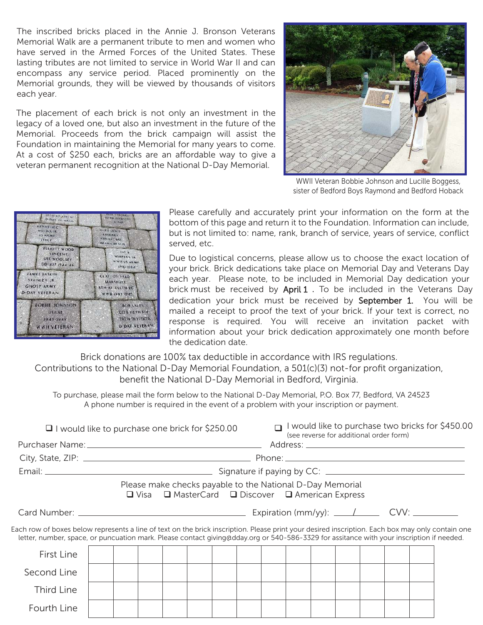The inscribed bricks placed in the Annie J. Bronson Veterans Memorial Walk are a permanent tribute to men and women who have served in the Armed Forces of the United States. These lasting tributes are not limited to service in World War II and can encompass any service period. Placed prominently on the Memorial grounds, they will be viewed by thousands of visitors each year.

The placement of each brick is not only an investment in the legacy of a loved one, but also an investment in the future of the Memorial. Proceeds from the brick campaign will assist the Foundation in maintaining the Memorial for many years to come. At a cost of \$250 each, bricks are an affordable way to give a veteran permanent recognition at the National D-Day Memorial.



WWII Veteran Bobbie Johnson and Lucille Boggess, sister of Bedford Boys Raymond and Bedford Hoback

| <b>951H AC STRAF</b><br>D-DAY VETERAN<br><b>KENNETH C</b><br>WALDO, IR<br>US ARMY<br>IIALY | <b>MIM HOWATTE</b><br><b>D DAY</b><br>OTEY LEWIS<br><b>KINGREY</b><br>USN LST 662<br><b>OMAHA BEACH</b> |  |  |  |  |  |  |
|--------------------------------------------------------------------------------------------|---------------------------------------------------------------------------------------------------------|--|--|--|--|--|--|
| <b>ELIJOTT WOOD</b><br><b>VINCENT</b><br>USS WOOLSEY<br>DD-437 1944-46                     | JAY 5<br>WHIPKEY SR<br>WWH US ARMY<br>1910-1984                                                         |  |  |  |  |  |  |
| <b>JAMES BASKING</b><br>STANLEY JR<br>GHOST ARMY<br>D-DAY VETERAN                          | <b>CLAY LON FRED</b><br><b>MARSHALL</b><br>8TH A1 466TH BC<br>WWN 1943 1945                             |  |  |  |  |  |  |
| <b>BOBBIE JOHNSON</b><br>USAAL<br>$1943 - 1949$<br><b>WWII VETERAN</b>                     | BOB SALES<br><b>COB 116TH INF</b><br><b>29TH DIVISION</b><br><b>D-DAY VETERAN</b>                       |  |  |  |  |  |  |

Please carefully and accurately print your information on the form at the bottom of this page and return it to the Foundation. Information can include, but is not limited to: name, rank, branch of service, years of service, conflict served, etc.

Due to logistical concerns, please allow us to choose the exact location of your brick. Brick dedications take place on Memorial Day and Veterans Day each year. Please note, to be included in Memorial Day dedication your brick must be received by  $April 1$ . To be included in the Veterans Day dedication your brick must be received by September 1. You will be mailed a receipt to proof the text of your brick. If your text is correct, no response is required. You will receive an invitation packet with information about your brick dedication approximately one month before the dedication date.

Brick donations are 100% tax deductible in accordance with IRS regulations.

Contributions to the National D-Day Memorial Foundation, a 501(c)(3) not-for profit organization, benefit the National D-Day Memorial in Bedford, Virginia.

To purchase, please mail the form below to the National D-Day Memorial, P.O. Box 77, Bedford, VA 24523 A phone number is required in the event of a problem with your inscription or payment.

| $\Box$ I would like to purchase one brick for \$250.00                                                                                                                                                                                                                                       |  |  |  |                                                                                                                |  |  |  | I would like to purchase two bricks for \$450.00<br>(see reverse for additional order form) |  |  |  |  |  |  |  |  |
|----------------------------------------------------------------------------------------------------------------------------------------------------------------------------------------------------------------------------------------------------------------------------------------------|--|--|--|----------------------------------------------------------------------------------------------------------------|--|--|--|---------------------------------------------------------------------------------------------|--|--|--|--|--|--|--|--|
|                                                                                                                                                                                                                                                                                              |  |  |  |                                                                                                                |  |  |  |                                                                                             |  |  |  |  |  |  |  |  |
|                                                                                                                                                                                                                                                                                              |  |  |  |                                                                                                                |  |  |  |                                                                                             |  |  |  |  |  |  |  |  |
|                                                                                                                                                                                                                                                                                              |  |  |  |                                                                                                                |  |  |  |                                                                                             |  |  |  |  |  |  |  |  |
|                                                                                                                                                                                                                                                                                              |  |  |  | Please make checks payable to the National D-Day Memorial<br>□ Visa □ MasterCard □ Discover □ American Express |  |  |  |                                                                                             |  |  |  |  |  |  |  |  |
|                                                                                                                                                                                                                                                                                              |  |  |  |                                                                                                                |  |  |  |                                                                                             |  |  |  |  |  |  |  |  |
| Each row of boxes below represents a line of text on the brick inscription. Please print your desired inscription. Each box may only contain one<br>letter, number, space, or puncuation mark. Please contact giving@dday.org or 540-586-3329 for assitance with your inscription if needed. |  |  |  |                                                                                                                |  |  |  |                                                                                             |  |  |  |  |  |  |  |  |
| First Line                                                                                                                                                                                                                                                                                   |  |  |  |                                                                                                                |  |  |  |                                                                                             |  |  |  |  |  |  |  |  |
| Second Line                                                                                                                                                                                                                                                                                  |  |  |  |                                                                                                                |  |  |  |                                                                                             |  |  |  |  |  |  |  |  |
| Third Line                                                                                                                                                                                                                                                                                   |  |  |  |                                                                                                                |  |  |  |                                                                                             |  |  |  |  |  |  |  |  |
| Fourth Line                                                                                                                                                                                                                                                                                  |  |  |  |                                                                                                                |  |  |  |                                                                                             |  |  |  |  |  |  |  |  |